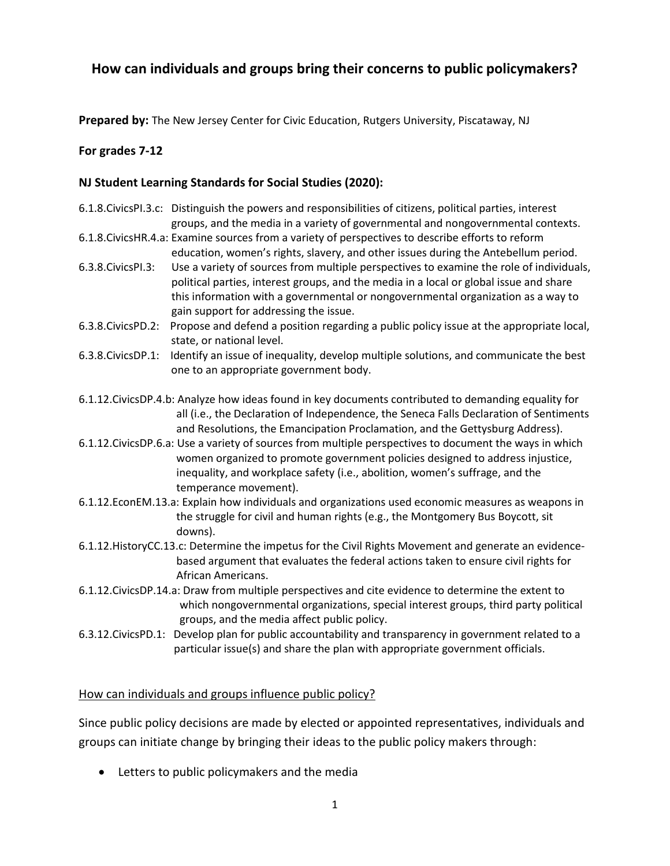# **How can individuals and groups bring their concerns to public policymakers?**

**Prepared by:** The New Jersey Center for Civic Education, Rutgers University, Piscataway, NJ

## **For grades 7-12**

## **NJ Student Learning Standards for Social Studies (2020):**

- 6.1.8.CivicsPI.3.c: Distinguish the powers and responsibilities of citizens, political parties, interest groups, and the media in a variety of governmental and nongovernmental contexts. 6.1.8.CivicsHR.4.a: Examine sources from a variety of perspectives to describe efforts to reform education, women's rights, slavery, and other issues during the Antebellum period. 6.3.8.CivicsPI.3: Use a variety of sources from multiple perspectives to examine the role of individuals, political parties, interest groups, and the media in a local or global issue and share this information with a governmental or nongovernmental organization as a way to gain support for addressing the issue.
- 6.3.8.CivicsPD.2: Propose and defend a position regarding a public policy issue at the appropriate local, state, or national level.
- 6.3.8.CivicsDP.1: Identify an issue of inequality, develop multiple solutions, and communicate the best one to an appropriate government body.
- 6.1.12.CivicsDP.4.b: Analyze how ideas found in key documents contributed to demanding equality for all (i.e., the Declaration of Independence, the Seneca Falls Declaration of Sentiments and Resolutions, the Emancipation Proclamation, and the Gettysburg Address).
- 6.1.12.CivicsDP.6.a: Use a variety of sources from multiple perspectives to document the ways in which women organized to promote government policies designed to address injustice, inequality, and workplace safety (i.e., abolition, women's suffrage, and the temperance movement).
- 6.1.12.EconEM.13.a: Explain how individuals and organizations used economic measures as weapons in the struggle for civil and human rights (e.g., the Montgomery Bus Boycott, sit downs).
- 6.1.12.HistoryCC.13.c: Determine the impetus for the Civil Rights Movement and generate an evidencebased argument that evaluates the federal actions taken to ensure civil rights for African Americans.
- 6.1.12.CivicsDP.14.a: Draw from multiple perspectives and cite evidence to determine the extent to which nongovernmental organizations, special interest groups, third party political groups, and the media affect public policy.
- 6.3.12.CivicsPD.1: Develop plan for public accountability and transparency in government related to a particular issue(s) and share the plan with appropriate government officials.

#### How can individuals and groups influence public policy?

Since public policy decisions are made by elected or appointed representatives, individuals and groups can initiate change by bringing their ideas to the public policy makers through:

Letters to public policymakers and the media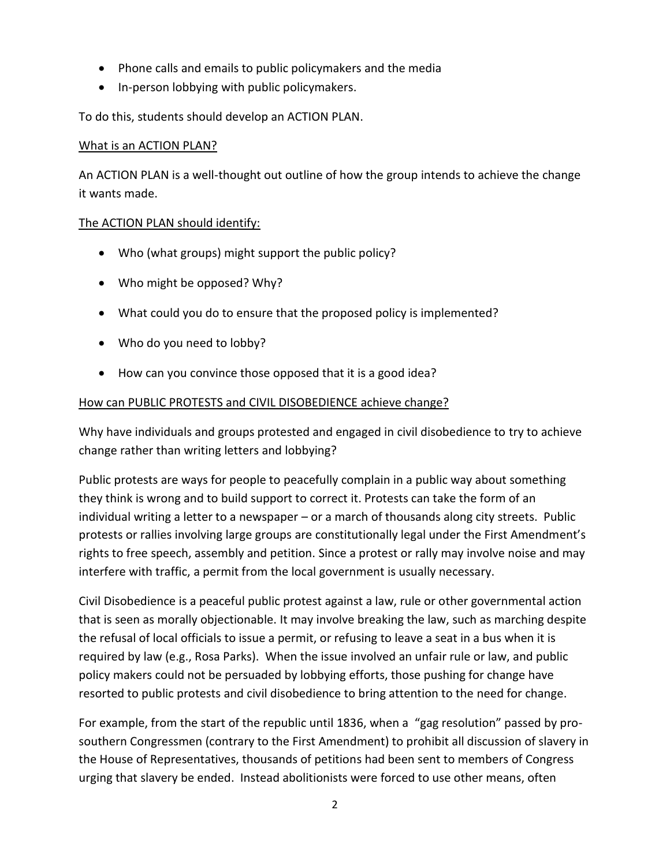- Phone calls and emails to public policymakers and the media
- In-person lobbying with public policymakers.

To do this, students should develop an ACTION PLAN.

#### What is an ACTION PLAN?

An ACTION PLAN is a well-thought out outline of how the group intends to achieve the change it wants made.

#### The ACTION PLAN should identify:

- Who (what groups) might support the public policy?
- Who might be opposed? Why?
- What could you do to ensure that the proposed policy is implemented?
- Who do you need to lobby?
- How can you convince those opposed that it is a good idea?

## How can PUBLIC PROTESTS and CIVIL DISOBEDIENCE achieve change?

Why have individuals and groups protested and engaged in civil disobedience to try to achieve change rather than writing letters and lobbying?

Public protests are ways for people to peacefully complain in a public way about something they think is wrong and to build support to correct it. Protests can take the form of an individual writing a letter to a newspaper – or a march of thousands along city streets. Public protests or rallies involving large groups are constitutionally legal under the First Amendment's rights to free speech, assembly and petition. Since a protest or rally may involve noise and may interfere with traffic, a permit from the local government is usually necessary.

Civil Disobedience is a peaceful public protest against a law, rule or other governmental action that is seen as morally objectionable. It may involve breaking the law, such as marching despite the refusal of local officials to issue a permit, or refusing to leave a seat in a bus when it is required by law (e.g., Rosa Parks). When the issue involved an unfair rule or law, and public policy makers could not be persuaded by lobbying efforts, those pushing for change have resorted to public protests and civil disobedience to bring attention to the need for change.

For example, from the start of the republic until 1836, when a "gag resolution" passed by prosouthern Congressmen (contrary to the First Amendment) to prohibit all discussion of slavery in the House of Representatives, thousands of petitions had been sent to members of Congress urging that slavery be ended. Instead abolitionists were forced to use other means, often